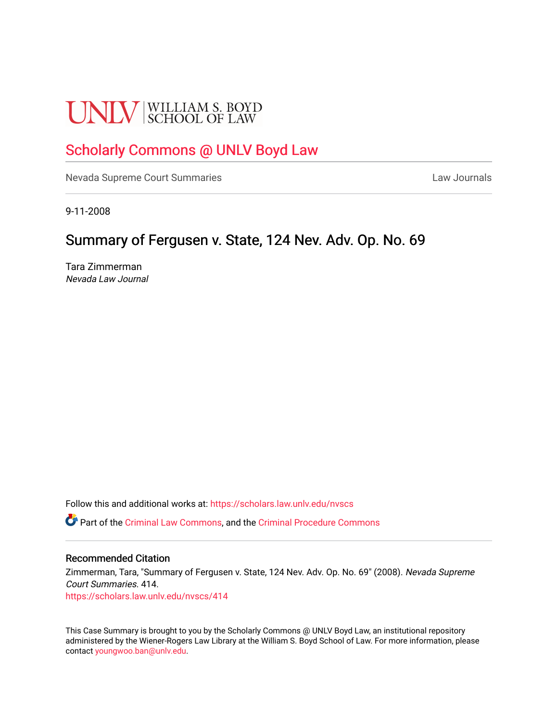# **UNLV** SCHOOL OF LAW

# [Scholarly Commons @ UNLV Boyd Law](https://scholars.law.unlv.edu/)

[Nevada Supreme Court Summaries](https://scholars.law.unlv.edu/nvscs) **Law Journals** Law Journals

9-11-2008

## Summary of Fergusen v. State, 124 Nev. Adv. Op. No. 69

Tara Zimmerman Nevada Law Journal

Follow this and additional works at: [https://scholars.law.unlv.edu/nvscs](https://scholars.law.unlv.edu/nvscs?utm_source=scholars.law.unlv.edu%2Fnvscs%2F414&utm_medium=PDF&utm_campaign=PDFCoverPages)

Part of the [Criminal Law Commons,](http://network.bepress.com/hgg/discipline/912?utm_source=scholars.law.unlv.edu%2Fnvscs%2F414&utm_medium=PDF&utm_campaign=PDFCoverPages) and the [Criminal Procedure Commons](http://network.bepress.com/hgg/discipline/1073?utm_source=scholars.law.unlv.edu%2Fnvscs%2F414&utm_medium=PDF&utm_campaign=PDFCoverPages)

#### Recommended Citation

Zimmerman, Tara, "Summary of Fergusen v. State, 124 Nev. Adv. Op. No. 69" (2008). Nevada Supreme Court Summaries. 414. [https://scholars.law.unlv.edu/nvscs/414](https://scholars.law.unlv.edu/nvscs/414?utm_source=scholars.law.unlv.edu%2Fnvscs%2F414&utm_medium=PDF&utm_campaign=PDFCoverPages)

This Case Summary is brought to you by the Scholarly Commons @ UNLV Boyd Law, an institutional repository administered by the Wiener-Rogers Law Library at the William S. Boyd School of Law. For more information, please contact [youngwoo.ban@unlv.edu](mailto:youngwoo.ban@unlv.edu).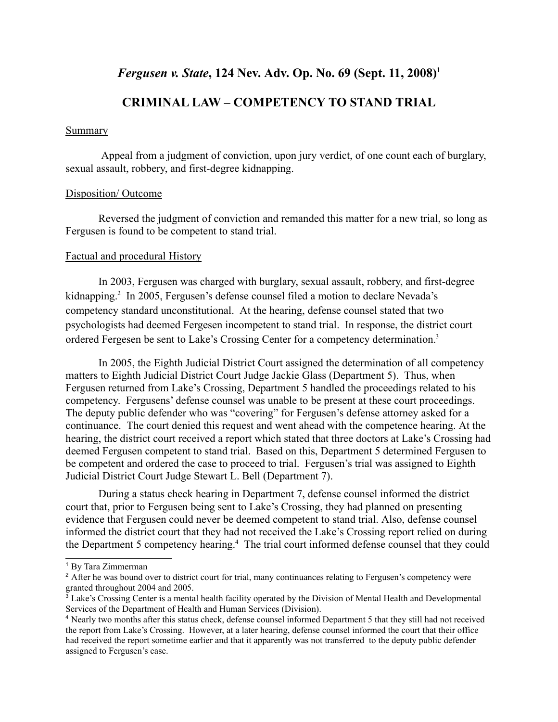## *Fergusen v. State*, 124 Nev. Adv. Op. No. 69 (Sept. 11, 2008)<sup>1</sup>

### **CRIMINAL LAW – COMPETENCY TO STAND TRIAL**

#### **Summary**

 Appeal from a judgment of conviction, upon jury verdict, of one count each of burglary, sexual assault, robbery, and first-degree kidnapping.

#### Disposition/ Outcome

Reversed the judgment of conviction and remanded this matter for a new trial, so long as Fergusen is found to be competent to stand trial.

#### Factual and procedural History

In 2003, Fergusen was charged with burglary, sexual assault, robbery, and first-degree kidnapping.<sup>2</sup> In 2005, Fergusen's defense counsel filed a motion to declare Nevada's competency standard unconstitutional. At the hearing, defense counsel stated that two psychologists had deemed Fergesen incompetent to stand trial. In response, the district court ordered Fergesen be sent to Lake's Crossing Center for a competency determination.3

 In 2005, the Eighth Judicial District Court assigned the determination of all competency matters to Eighth Judicial District Court Judge Jackie Glass (Department 5). Thus, when Fergusen returned from Lake's Crossing, Department 5 handled the proceedings related to his competency. Fergusens' defense counsel was unable to be present at these court proceedings. The deputy public defender who was "covering" for Fergusen's defense attorney asked for a continuance. The court denied this request and went ahead with the competence hearing. At the hearing, the district court received a report which stated that three doctors at Lake's Crossing had deemed Fergusen competent to stand trial. Based on this, Department 5 determined Fergusen to be competent and ordered the case to proceed to trial. Fergusen's trial was assigned to Eighth Judicial District Court Judge Stewart L. Bell (Department 7).

 During a status check hearing in Department 7, defense counsel informed the district court that, prior to Fergusen being sent to Lake's Crossing, they had planned on presenting evidence that Fergusen could never be deemed competent to stand trial. Also, defense counsel informed the district court that they had not received the Lake's Crossing report relied on during the Department 5 competency hearing.<sup>4</sup> The trial court informed defense counsel that they could

<sup>1</sup> By Tara Zimmerman

<sup>&</sup>lt;sup>2</sup> After he was bound over to district court for trial, many continuances relating to Fergusen's competency were granted throughout 2004 and 2005.

<sup>3</sup> Lake's Crossing Center is a mental health facility operated by the Division of Mental Health and Developmental Services of the Department of Health and Human Services (Division).

<sup>4</sup> Nearly two months after this status check, defense counsel informed Department 5 that they still had not received the report from Lake's Crossing. However, at a later hearing, defense counsel informed the court that their office had received the report sometime earlier and that it apparently was not transferred to the deputy public defender assigned to Fergusen's case.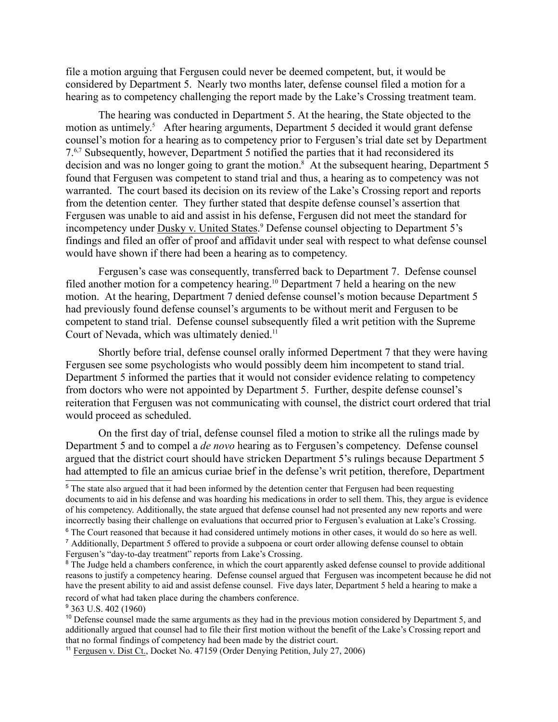file a motion arguing that Fergusen could never be deemed competent, but, it would be considered by Department 5. Nearly two months later, defense counsel filed a motion for a hearing as to competency challenging the report made by the Lake's Crossing treatment team.

The hearing was conducted in Department 5. At the hearing, the State objected to the motion as untimely.<sup>5</sup> After hearing arguments, Department 5 decided it would grant defense counsel's motion for a hearing as to competency prior to Fergusen's trial date set by Department 7.6,7 Subsequently, however, Department 5 notified the parties that it had reconsidered its decision and was no longer going to grant the motion.<sup>8</sup> At the subsequent hearing, Department 5 found that Fergusen was competent to stand trial and thus, a hearing as to competency was not warranted. The court based its decision on its review of the Lake's Crossing report and reports from the detention center. They further stated that despite defense counsel's assertion that Fergusen was unable to aid and assist in his defense, Fergusen did not meet the standard for incompetency under **Dusky v. United States.**<sup>9</sup> Defense counsel objecting to Department 5's findings and filed an offer of proof and affidavit under seal with respect to what defense counsel would have shown if there had been a hearing as to competency.

 Fergusen's case was consequently, transferred back to Department 7. Defense counsel filed another motion for a competency hearing.<sup>10</sup> Department 7 held a hearing on the new motion. At the hearing, Department 7 denied defense counsel's motion because Department 5 had previously found defense counsel's arguments to be without merit and Fergusen to be competent to stand trial. Defense counsel subsequently filed a writ petition with the Supreme Court of Nevada, which was ultimately denied.<sup>11</sup>

Shortly before trial, defense counsel orally informed Depertment 7 that they were having Fergusen see some psychologists who would possibly deem him incompetent to stand trial. Department 5 informed the parties that it would not consider evidence relating to competency from doctors who were not appointed by Department 5. Further, despite defense counsel's reiteration that Fergusen was not communicating with counsel, the district court ordered that trial would proceed as scheduled.

 On the first day of trial, defense counsel filed a motion to strike all the rulings made by Department 5 and to compel a *de novo* hearing as to Fergusen's competency. Defense counsel argued that the district court should have stricken Department 5's rulings because Department 5 had attempted to file an amicus curiae brief in the defense's writ petition, therefore, Department

<sup>9</sup> 363 U.S. 402 (1960)

<sup>&</sup>lt;sup>5</sup> The state also argued that it had been informed by the detention center that Fergusen had been requesting documents to aid in his defense and was hoarding his medications in order to sell them. This, they argue is evidence of his competency. Additionally, the state argued that defense counsel had not presented any new reports and were incorrectly basing their challenge on evaluations that occurred prior to Fergusen's evaluation at Lake's Crossing.

<sup>&</sup>lt;sup>6</sup> The Court reasoned that because it had considered untimely motions in other cases, it would do so here as well. <sup>7</sup> Additionally, Department 5 offered to provide a subpoena or court order allowing defense counsel to obtain Fergusen's "day-to-day treatment" reports from Lake's Crossing.

<sup>&</sup>lt;sup>8</sup> The Judge held a chambers conference, in which the court apparently asked defense counsel to provide additional reasons to justify a competency hearing. Defense counsel argued that Fergusen was incompetent because he did not have the present ability to aid and assist defense counsel. Five days later, Department 5 held a hearing to make a record of what had taken place during the chambers conference.

<sup>&</sup>lt;sup>10</sup> Defense counsel made the same arguments as they had in the previous motion considered by Department 5, and additionally argued that counsel had to file their first motion without the benefit of the Lake's Crossing report and that no formal findings of competency had been made by the district court.

<sup>11</sup> Fergusen v. Dist Ct., Docket No. 47159 (Order Denying Petition, July 27, 2006)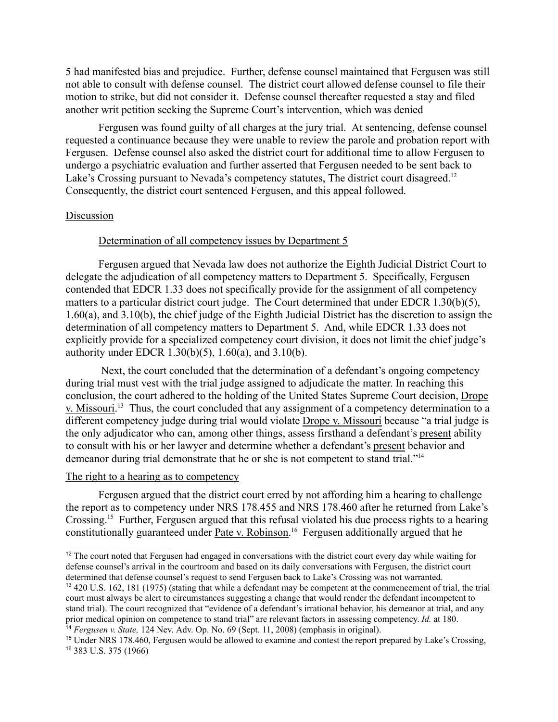5 had manifested bias and prejudice. Further, defense counsel maintained that Fergusen was still not able to consult with defense counsel. The district court allowed defense counsel to file their motion to strike, but did not consider it. Defense counsel thereafter requested a stay and filed another writ petition seeking the Supreme Court's intervention, which was denied

Fergusen was found guilty of all charges at the jury trial. At sentencing, defense counsel requested a continuance because they were unable to review the parole and probation report with Fergusen. Defense counsel also asked the district court for additional time to allow Fergusen to undergo a psychiatric evaluation and further asserted that Fergusen needed to be sent back to Lake's Crossing pursuant to Nevada's competency statutes. The district court disagreed.<sup>12</sup> Consequently, the district court sentenced Fergusen, and this appeal followed.

#### Discussion

#### Determination of all competency issues by Department 5

Fergusen argued that Nevada law does not authorize the Eighth Judicial District Court to delegate the adjudication of all competency matters to Department 5. Specifically, Fergusen contended that EDCR 1.33 does not specifically provide for the assignment of all competency matters to a particular district court judge. The Court determined that under EDCR 1.30(b)(5), 1.60(a), and 3.10(b), the chief judge of the Eighth Judicial District has the discretion to assign the determination of all competency matters to Department 5. And, while EDCR 1.33 does not explicitly provide for a specialized competency court division, it does not limit the chief judge's authority under EDCR 1.30(b)(5), 1.60(a), and 3.10(b).

 Next, the court concluded that the determination of a defendant's ongoing competency during trial must vest with the trial judge assigned to adjudicate the matter. In reaching this conclusion, the court adhered to the holding of the United States Supreme Court decision, Drope v. Missouri.<sup>13</sup> Thus, the court concluded that any assignment of a competency determination to a different competency judge during trial would violate Drope v. Missouri because "a trial judge is the only adjudicator who can, among other things, assess firsthand a defendant's present ability to consult with his or her lawyer and determine whether a defendant's present behavior and demeanor during trial demonstrate that he or she is not competent to stand trial."14

#### The right to a hearing as to competency

Fergusen argued that the district court erred by not affording him a hearing to challenge the report as to competency under NRS 178.455 and NRS 178.460 after he returned from Lake's Crossing.15 Further, Fergusen argued that this refusal violated his due process rights to a hearing constitutionally guaranteed under Pate v. Robinson.<sup>16</sup> Fergusen additionally argued that he

<sup>&</sup>lt;sup>12</sup> The court noted that Fergusen had engaged in conversations with the district court every day while waiting for defense counsel's arrival in the courtroom and based on its daily conversations with Fergusen, the district court determined that defense counsel's request to send Fergusen back to Lake's Crossing was not warranted.

<sup>13</sup> 420 U.S. 162, 181 (1975) (stating that while a defendant may be competent at the commencement of trial, the trial court must always be alert to circumstances suggesting a change that would render the defendant incompetent to stand trial). The court recognized that "evidence of a defendant's irrational behavior, his demeanor at trial, and any prior medical opinion on competence to stand trial" are relevant factors in assessing competency. *Id.* at 180. <sup>14</sup> *Fergusen v. State,* 124 Nev. Adv. Op. No. 69 (Sept. 11, 2008) (emphasis in original).

<sup>15</sup> Under NRS 178.460, Fergusen would be allowed to examine and contest the report prepared by Lake's Crossing, 16 383 U.S. 375 (1966)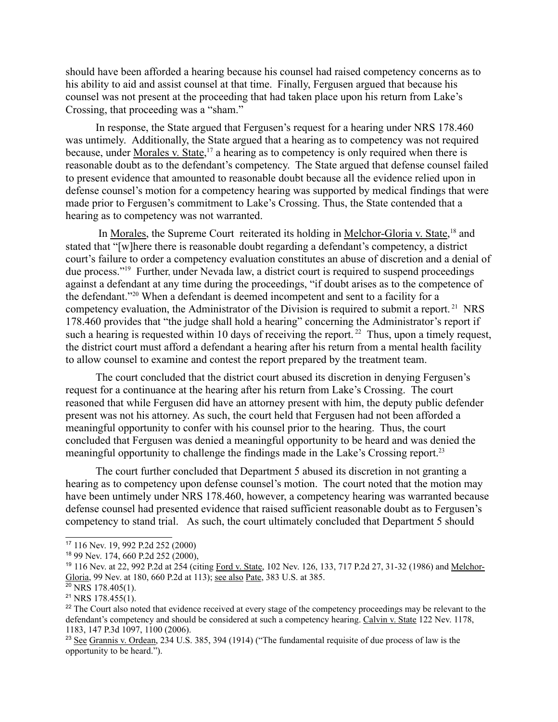should have been afforded a hearing because his counsel had raised competency concerns as to his ability to aid and assist counsel at that time. Finally, Fergusen argued that because his counsel was not present at the proceeding that had taken place upon his return from Lake's Crossing, that proceeding was a "sham."

In response, the State argued that Fergusen's request for a hearing under NRS 178.460 was untimely. Additionally, the State argued that a hearing as to competency was not required because, under Morales v. State,<sup>17</sup> a hearing as to competency is only required when there is reasonable doubt as to the defendant's competency. The State argued that defense counsel failed to present evidence that amounted to reasonable doubt because all the evidence relied upon in defense counsel's motion for a competency hearing was supported by medical findings that were made prior to Fergusen's commitment to Lake's Crossing. Thus, the State contended that a hearing as to competency was not warranted.

In Morales, the Supreme Court reiterated its holding in Melchor-Gloria v. State,<sup>18</sup> and stated that "[w]here there is reasonable doubt regarding a defendant's competency, a district court's failure to order a competency evaluation constitutes an abuse of discretion and a denial of due process."19 Further, under Nevada law, a district court is required to suspend proceedings against a defendant at any time during the proceedings, "if doubt arises as to the competence of the defendant."20 When a defendant is deemed incompetent and sent to a facility for a competency evaluation, the Administrator of the Division is required to submit a report.<sup>21</sup> NRS 178.460 provides that "the judge shall hold a hearing" concerning the Administrator's report if such a hearing is requested within 10 days of receiving the report.<sup>22</sup> Thus, upon a timely request, the district court must afford a defendant a hearing after his return from a mental health facility to allow counsel to examine and contest the report prepared by the treatment team.

The court concluded that the district court abused its discretion in denying Fergusen's request for a continuance at the hearing after his return from Lake's Crossing. The court reasoned that while Fergusen did have an attorney present with him, the deputy public defender present was not his attorney. As such, the court held that Fergusen had not been afforded a meaningful opportunity to confer with his counsel prior to the hearing. Thus, the court concluded that Fergusen was denied a meaningful opportunity to be heard and was denied the meaningful opportunity to challenge the findings made in the Lake's Crossing report.23

The court further concluded that Department 5 abused its discretion in not granting a hearing as to competency upon defense counsel's motion. The court noted that the motion may have been untimely under NRS 178.460, however, a competency hearing was warranted because defense counsel had presented evidence that raised sufficient reasonable doubt as to Fergusen's competency to stand trial. As such, the court ultimately concluded that Department 5 should

<sup>17</sup> 116 Nev. 19, 992 P.2d 252 (2000)

<sup>18</sup> 99 Nev. 174, 660 P.2d 252 (2000),

<sup>&</sup>lt;sup>19</sup> 116 Nev. at 22, 992 P.2d at 254 (citing Ford v. State, 102 Nev. 126, 133, 717 P.2d 27, 31-32 (1986) and Melchor-Gloria, 99 Nev. at 180, 660 P.2d at 113); see also Pate, 383 U.S. at 385.

 $20$  NRS 178.405(1).

 $21$  NRS 178.455(1).

<sup>&</sup>lt;sup>22</sup> The Court also noted that evidence received at every stage of the competency proceedings may be relevant to the defendant's competency and should be considered at such a competency hearing. Calvin v. State 122 Nev. 1178, 1183, 147 P.3d 1097, 1100 (2006).

<sup>&</sup>lt;sup>23</sup> See Grannis v. Ordean, 234 U.S. 385, 394 (1914) ("The fundamental requisite of due process of law is the opportunity to be heard.").